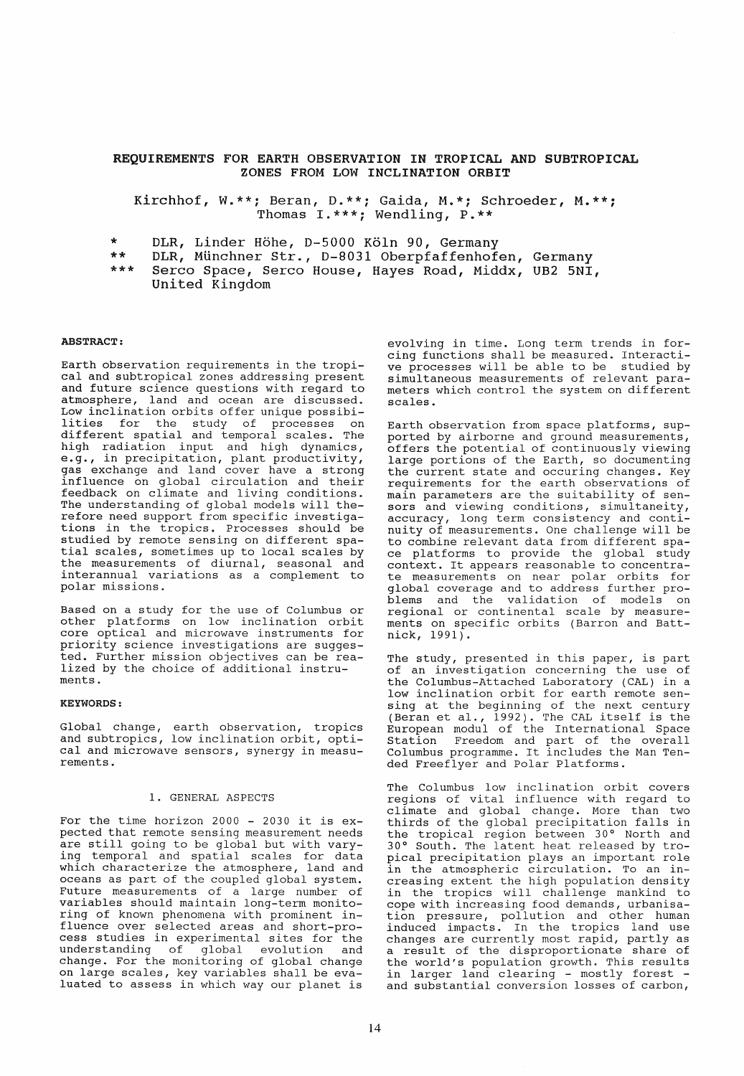# REQUIREMENTS FOR EARTH OBSERVATION IN TROPICAL AHD SUBTROPICAL ZONES FROM LOW INCLINATION ORBIT

Kirchhof, W.\*\*; Beran, 0.\*\*; Gaida, M.\*; Schroeder, Thomas I.\*\*\*; Wendling, P.\*\*

- DLR, Linder Höhe, D-5000 Köln 90, Germany
- \*\* DLR, Münchner Str., 0-8031 Oberpfaffenhofen, Germany
- \*\*\* Serco Space, Serco House, Hayes Road, Middx, UB2 5NI, United Kingdom

### ABSTRACT:

Earth observation requirements in the tropical and subtropical zones addressing present and future science questions with regard to atmosphere, land and ocean are discussed. Low inclination orbits offer unique possibilities for the study of processes on different spatial and temporal scales. The high radiation input and high dynamics, e.g., in precipitation, plant productivity, gas exchange and land cover have a strong influence on global circulation and their feedback on climate and living conditions. The understanding of global models will there fore need support from specific investigations in the tropics. Processes should be studied by remote sensing on different spatial scales, sometimes up to local scales by the measurements of diurnal, seasonal and interannual variations as a complement to polar missions.

Based on a study for the use of Columbus or other platforms on low inclination orbit core optical and microwave instruments for priority science investigations are suggested. Further mission objectives can be realized by the choice of additional instruments.

### KEYWORDS:

Global change, earth observation, tropics and subtropics, low inclination orbit, optical and microwave sensors, synergy in measu- rements.

#### 1. GENERAL ASPECTS

For the time horizon 2000 - 2030 it is expected that remote sensing measurement needs are still going to be global but with varying temporal and spatial scales for data which characterize the atmosphere, land and oceans as part of the coupled global system. Future measurements of a large number of variables should maintain long-term monitoring of known phenomena with prominent influence over selected areas and short-process studies in experimental sites for the understanding of global evolution and change. For the monitoring of global change on large scales, key variables shall be evaluated to assess in which way our planet is

evolving in time. Long term trends in forcing functions shall be measured. Interactive processes will be able to be studied by simultaneous measurements of relevant parameters which control the system on different scales.

Earth observation from space platforms, supported by airborne and ground measurements, offers the potential of continuously viewing large portions of the Earth, so documenting the current state and occuring changes. Key requirements for the earth observations of main parameters are the suitability of sensors and viewing conditions, simultaneity, accuracy, long term consistency and continuity of measurements. One challenge will be to combine relevant data from different space platforms to provide the global study context. It appears reasonable to concentrate measurements on near polar orbits for global coverage and to address further problems and the validation of models on regional or continental scale by measure- ments on specific orbits (Barron and Battnick, 1991).

The study, presented in this paper, is part of an investigation concerning the use of the Columbus-Attached Laboratory (CAL) in a low inclination orbit for earth remote sensing at the beginning of the next century (Beran et al., 1992). The CAL itself is the European modul of the International Space Station Freedom and part of the overall Columbus programme. It includes the Man Tended Freeflyer and Polar Platforms.

The Columbus low inclination orbit covers regions of vital influence with regard to climate and global change. More than two thirds of the global precipitation falls in the tropical region between 30° North and 30 0 South. The latent heat released by tropical precipitation plays an important role in the atmospheric circulation. To an increasing extent the high population density in the tropics will challenge mankind to cope with increasing food demands, urbanisation pressure , pollution and other human induced impacts. In the tropics land use changes are currently most rapid, partly as a result of the disproportionate share of the world's population growth. This results in larger land clearing - mostly forest -<br>and substantial conversion losses of carbon,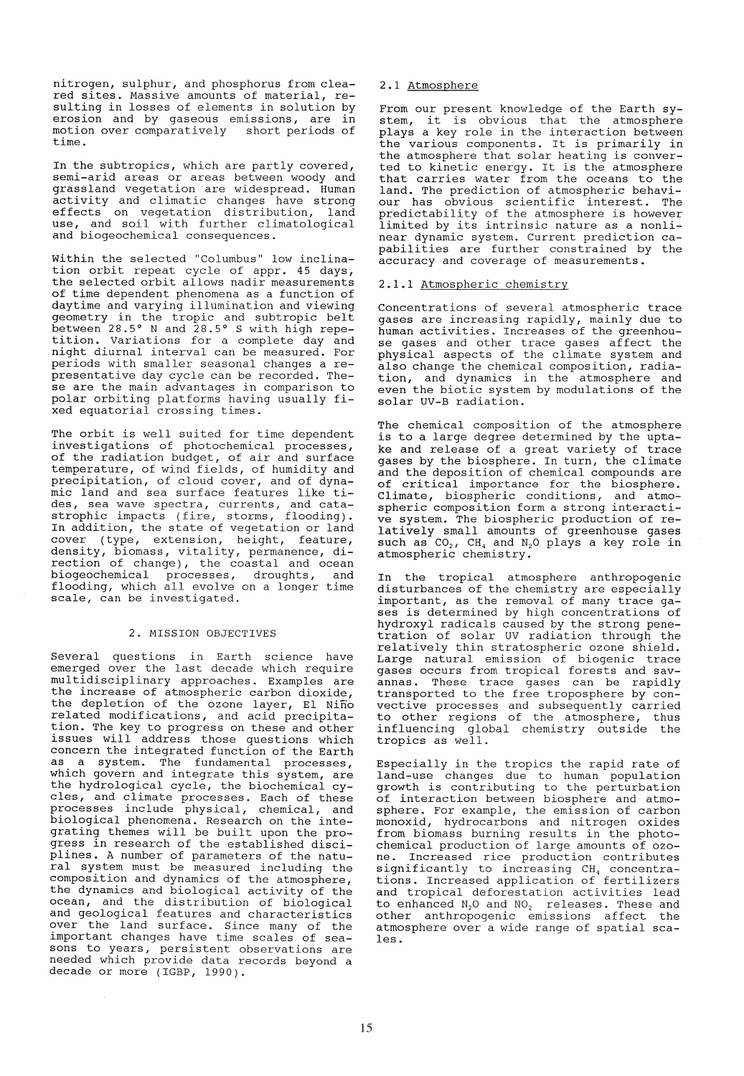nitrogen, sulphur, and phosphorus from cleared sites. Massive amounts of material, resulting in losses of elements in solution by erosion and by gaseous emissions, are in<br>motion over comparatively short periods of motion over comparatively time.

In the subtropics, which are partly covered, semi-arid areas or areas between woody and grassland vegetation are widespread. Human activity and climatic changes have strong effects on vegetation distribution, land use, and soil with further climatological and biogeochemical consequences.

within the selected "Columbus" low inclination orbit repeat cycle of appr. 45 days, the selected orbit allows nadir measurements of time dependent phenomena as a function of daytime and varying illumination and viewing geometry in the tropic and subtropic belt between 28.5° N and 28.5° S with high repetition. Variations for a complete day and night diurnal interval can be measured. For periods with smaller seasonal changes a representative day cycle can be recorded. These are the main advantages in comparison to polar orbiting platforms having usually fixed equatorial crossing times.

The orbit is well suited for time dependent investigations of photochemical processes, of the radiation budget, of air and surface temperature, of wind fields, of humidity and precipitation, of cloud cover, and of dynamic land and sea surface features like tides, sea wave spectra, currents, and catastrophic impacts (fire, storms, flooding). In addition, the state of vegetation or land cover (type, extension, height, feature, density, biomass, vitality, permanence, direction of change), the coastal and ocean biogeochemical processes, droughts, and flooding, which all evolve on a longer time scale, can be investigated.

# 2. MISSION OBJECTIVES

Several questions in Earth science have emerged over the last decade which require multidisciplinary approaches. Examples are the increase of atmospheric carbon dioxide, the depletion of the ozone layer, EI Nino related modifications, and acid precipitation. The key to progress on these and other issues will address those questions which concern the integrated function of the Earth as a system. The fundamental processes,<br>which govern and integrate this system, are the hydrological cycle, the biochemical cycles, and climate processes. Each of these processes include physical, chemical, and biological phenomena. Research on the integrating themes will be built upon the prograssing shemes with he built upon the proplines. A number of parameters of the natural system must be measured including the composition and dynamics of the atmosphere, the dynamics and biological activity of the ocean, and the distribution of biological and geological features and characteristics over the land surface. Since many of the<br>important changes have time scales of seasons to years, persistent observations are needed which provide data records beyond a decade or more (IGBP, 1990).

# 2.1 Atmosphere

From our present knowledge of the Earth system, it is obvious that the atmosphere plays a key role in the interaction between the various components. It is primarily in the atmosphere that solar heating is conver- ted to kinetic energy. It is the atmosphere that carries water from the oceans to the<br>land. The prediction of atmospheric behaviland. The prediction of atmospheric behavi- our has obvious scientific interest. The predictability of the atmosphere is however limited by its intrinsic nature as a nonlinear dynamic system. Current prediction capabilities are further constrained by the .<br>accuracy and coverage of measurements.

# 2.1.1 Atmospheric chemistry

Concentrations of several atmospheric trace gases are increasing rapidly, mainly due to human activities. Increases of the greenhouse gases and other trace gases affect the physical aspects of the climate system and also change the chemical composition, radiation, and dynamics in the atmosphere and even the biotic system by modulations of the solar UV-B radiation.

The chemical composition of the atmosphere is to a large degree determined by the uptake and release of a great variety of trace gases by the biosphere. In turn, the climate<br>and the deposition of chemical compounds are of critical importance for the biosphere. Climate, biospheric conditions, and atmospheric composition form a strong interactive system. The biospheric production of relatively small amounts of greenhouse gases such as  $CO_2$ ,  $CH_4$  and  $N_2O$  plays a key role in atmospheric chemistry.

In the tropical atmosphere anthropogenic disturbances of the chemistry are especially important, as the removal of many trace ga- ses is determined by high concentrations of ses is determined by high concentrations of<br>hydroxyl radicals caused by the strong penetration of solar UV radiation through the relatively thin stratospheric ozone shield. Large natural emission of biogenic trace gases occurs from tropical forests and savannas. These trace gases can be rapidly transported to the free troposphere by convective processes and subsequently carried to other regions of the atmosphere, thus influencing global chemistry outside the tropics as well.

Especially in the tropics the rapid rate of land-use changes due to human population growth is contributing to the perturbation of interaction between biosphere and atmosphere. For example, the emission of carbon monoxid, hydrocarbons and nitrogen oxides from biomass burning results in the photo-<br>chemical production of large amounts of ozone. Increased rice production contributes significantly to increasing CH<sub>4</sub> concentrations. Increased application of fertilizers and tropical deforestation activities lead to enhanced  $N_2O$  and  $NO_2$  releases. These and other anthropogenic emissions affect the atmosphere over a wide range of spatial sca- les.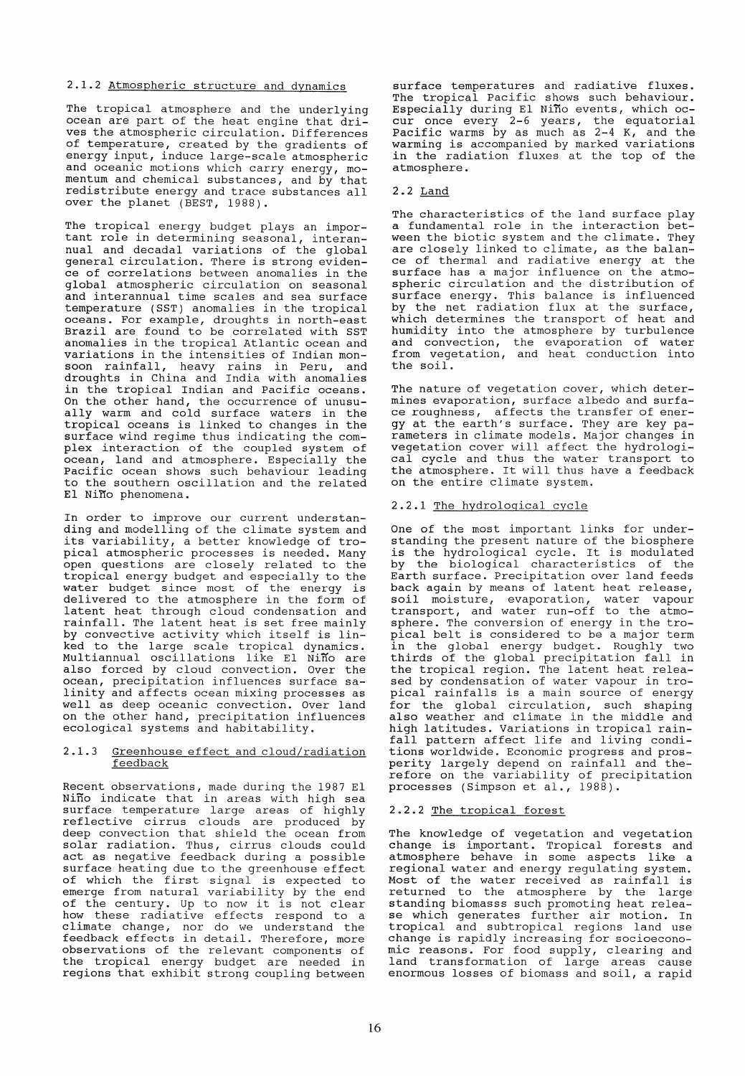# 2.1.2 Atmospheric structure and dynamics

The tropical atmosphere and the underlying ocean are part of the heat engine that drives the atmospheric circulation. Differences of temperature, created by the gradients of energy input, induce large-scale atmospheric and oceanic motions which carry energy, momentum and chemical substances, and by that<br>redistribute energy and trace substances all over the planet (BEST, 1988).

The tropical energy budget plays an important role in determining seasonal, interannual and decadal variations of the global general circulation. There is strong eviden- ce of correlations between anomalies in the global atmospheric circulation on seasonal and interannual time scales and sea surface temperature (SST) anomalies in the tropical oceans. For example, droughts in north-east Brazil are found to be correlated with SST anomalies in the tropical Atlantic ocean and variations in the intensities of Indian monsoon rainfall, heavy rains in Peru, and droughts in China and India with anomalies in the tropical Indian and Pacific oceans. On the other hand, the occurrence of unusually warm and cold surface waters in the tropical oceans is linked to changes in the surface wind regime thus indicating the complex interaction of the coupled system of ocean, land and atmosphere. Especially the Pacific ocean shows such behaviour leading to the southern oscillation and the related EI Niffo phenomena.

In order to improve our current understanding and modelling of the climate system and its variability, a better knowledge of tropical atmospheric processes is needed. Many open questions are closely related to the tropical energy budget and especially to the water budget since most of the energy is delivered to the atmosphere in the form of latent heat through cloud condensation and ratent heat emrough eroud condensation and<br>rainfall. The latent heat is set free mainly by convective activity which itself is lined to the large scale tropical dynamics. Multiannual oscillations like EI Nino are also forced by cloud convection. Over the ocean, precipitation influences surface salinity and affects ocean mixing processes as weIl as deep oceanic convection. Over land on the other hand, precipitation influences ecological systems and habitability.

## 2.1.3 Greenhouse effect and cloud/radiation feedback

Recent observations, made during the 1987 EI Nino indicate that in areas with high sea surface temperature large areas of highly reflective cirrus clouds are produced by deep convection that shield the ocean from solar radiation. Thus, cirrus clouds could act as negative feedback during a possible surface heating due to the greenhouse effect of which the first signal is expected to emerge from natural variability by the end emerge from natural variability by the end<br>of the century. Up to now it is not clear If the constant of the field in the second to a climate change, nor do we understand the feedback effects in detail. Therefore, more observations of the relevant components of the tropical energy budget are needed in end displacit energy budget are needed in

surface temperatures and radiative fluxes. The tropical Pacific shows such behaviour. Especially during El Nino events, which occur once every 2-6 years, the equatorial Pacific warms by as much as 2-4 K, and the warming is accompanied by marked variations in the radiation fluxes at the top of the atmosphere.

# 2.2 Land

The characteristics of the land surface play a fundamental role in the interaction bet- ween the biotic system and the climate. They are closely linked to climate, as the balance of thermal and radiative energy at the surface has a major influence on the atmospheric circulation and the distribution of surface energy. This balance is influenced but account of the surface of the surface, which determines the transport of heat and humidity into the atmosphere by turbulence and convection, the evaporation of water from vegetation, and heat conduction into the soil.

The nature of vegetation cover, which determines evaporation, surface albedo and surface roughness, affects the transfer of energy at the earth's surface. They are key parameters in climate models. Major changes in vegetation cover will affect the hydrological cycle and thus the water transport to the atmosphere. It will thus have a feedback on the entire climate system.

## 2.2.1 The hydrological cycle

One of the most important links for understanding the present nature of the biosphere is the hydrological cycle. It is modulated by the biological characteristics of the Earth surface. Precipitation over land feeds back again by means of latent heat release, soil moisture, evaporation, water vapour transport, and water run-off to the atmosphere. The conversion of energy in the tropical belt is considered to be a major term in the global energy budget. Roughly two In the grobal energy badgee. Reaging two thirds of the global precipitation fall in the tropical region. The latent heat released by condensation of water vapour in tropical rainfalls is a main source of energy for the global circulation, such shaping also weather and climate in the middle and high latitudes. Variations in tropical rainfall pattern affect life and living conditions worldwide. Economic progress and prosperity largely depend on rainfall and therefore on the variability of precipitation processes (Simpson et al., 1988).

## 2.2.2 The tropical forest

The knowledge of vegetation and vegetation change is important. Tropical forests and atmosphere behave in some aspects like a regional water and energy regulating system. Most of the water received as rainfall is returned to the atmosphere by the large standing biomasss such promoting heat release which generates further air motion. In<br>tropical and subtropical regions land use tropical and subtropical regions land use change is rapidly increasing for socioeconomic reasons. For food supply, clearing and land transformation of large areas cause enormous losses of biomass and soil, a rapid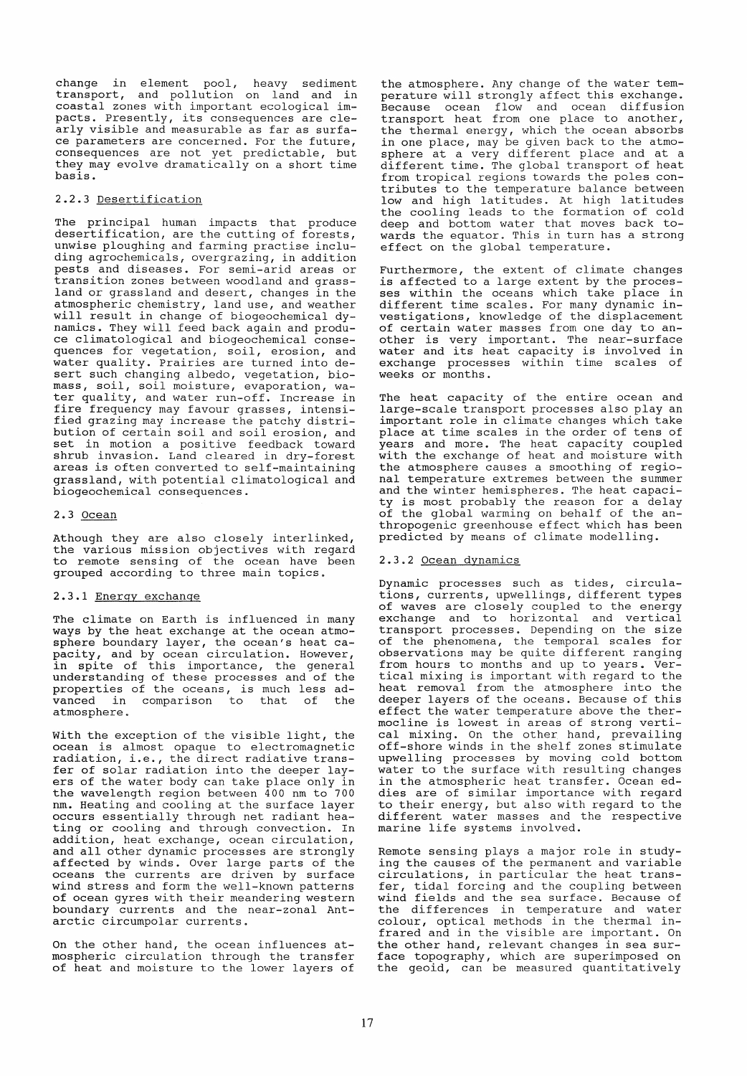change in element pool, heavy sediment transport, and pollution on land and in coastal zones with important ecological impacts. Presently, its consequences are clearly visible and measurable as far as surface parameters are concerned. For the future, consequences are not yet predictable, but they may evolve dramatically on a short time basis.

# 2.2.3 Desertification

The principal human impacts that produce desertification, are the cutting of forests, unwise ploughing and farming practise including agrochemicals, overgrazing, in addition pests and diseases. For semi-arid areas or transition zones between woodland and grassland or grassland and desert, changes in the atmospheric chemistry, land use, and weather will result in change of biogeochemical dynamics. They will feed back again and produce climatological and biogeochemical consequences for vegetation, soil, erosion, and water quality. Prairies are turned into desert such changing albedo, vegetation, biomass, soil, soil moisture, evaporation, water quality, and water run-off. Increase in fire frequency may favour grasses, intensified grazing may increase the patchy distribution of certain soil and soil erosion, and set in motion a positive feedback toward shrub invasion. Land cleared in dry-forest areas is often converted to self-maintaining grassland, with potential climatological and biogeochemical consequences.

## 2.3 Ocean

Athough they are also closely interlinked, the various mission objectives with regard to remote sensing of the ocean have been grouped according to three main topics.

# 2.3.1 Energy exchange

The climate on Earth is influenced in many ways by the heat exchange at the ocean atmosphere boundary layer, the ocean's heat capacity, and by ocean circulation. However, in spite of this importance, the general understanding of these processes and of the properties of the oceans, is much less ad-<br>vanced in comparison to that of the vanced in comparison to that atmosphere.

with the exception of the visible light, the ocean is almost opaque to electromagnetic radiation, i.e., the direct radiative transfer of solar radiation into the deeper layers of the water body can take place only in the wavelength region between 400 nm to 700 nm. Heating and cooling at the surface layer occurs essentially through net radiant heating or cooling and through convection. In addition, heat exchange, ocean circulation, and all other dynamic processes are strongly affected by winds. Over large parts of the oceans the currents are driven by surface wind stress and form the well-known patterns of ocean gyres with their meandering western boundary currents and the near-zonal Antarctic circumpolar currents.

On the other hand, the ocean influences atmospheric circulation through the transfer of heat and moisture to the lower layers of the atmosphere. Any change of the water temperature will strongly affect this exchange. Because ocean flow and ocean diffusion transport heat from one place to another, the thermal energy, which the ocean absorbs in one place, may be given back to the atmo-In the prace,  $\lim_{n \to \infty} \frac{1}{n}$  is given same of the arms different time. The qlobal transport of heat from tropical regions towards the poles contributes to the temperature balance between low and high lati tudes. At high lati tudes the cooling leads to the formation of cold deep and bottom water that moves back towards the equator. This in turn has a strong effect on the global temperature.

Furthermore, the extent of climate changes is affected to a large extent by the processes within the oceans which take place in different time scales. For many dynamic investigations, knowledge of the displacement of certain water masses from one day to anof certain water masses from one day to an water and its heat capacity is involved in exchange processes within time scales of weeks or months.

The heat capacity of the entire ocean and large-scale transport processes also play an important role in climate changes which take place at time scales in the order of tens of years and more. The heat capacity coupled with the exchange of heat and moisture with the atmosphere causes a smoothing of regional temperature extremes between the summer and the winter hemispheres. The heat capacity is most probably the reason for a delay of the global warming on behalf of the anthropogenic greenhouse effect which has been predicted by means of climate modelling.

# 2.3.2 Ocean dynamics

Dynamic processes such as tides, circulations, currents, upwellings, different types of waves are closely coupled to the energy exchange and to horizontal and vertical transport processes. Depending on the size of the phenomena, the temporal scales for observations may be quite different ranging from hours to months and up to years. Vertical mixing is important with regard to the heat removal from the atmosphere into the deeper layers of the oceans. Because of this effect the water temperature above the thermocline is lowest in areas of strong vertical mixing. On the other hand, prevailing off-shore winds in the shelf zones stimulate upwelling processes by moving cold bottom water to the surface with resulting changes in the atmospheric heat transfer. Ocean eddies are of similar importance with regard ares are or similar importance with regard<br>to their energy, but also with regard to the different water masses and the respective marine life systems involved.

Remote sensing plays a major role in studying the causes of the permanent and variable circulations, in particular the heat transfer, tidal forcing and the coupling between wind fields and the sea surface. Because of the differences in temperature and water colour, optical methods in the thermal infrared and in the visible are important. On the other hand, relevant changes in sea surface topography, which are superimposed on the geoid, can be measured quantitatively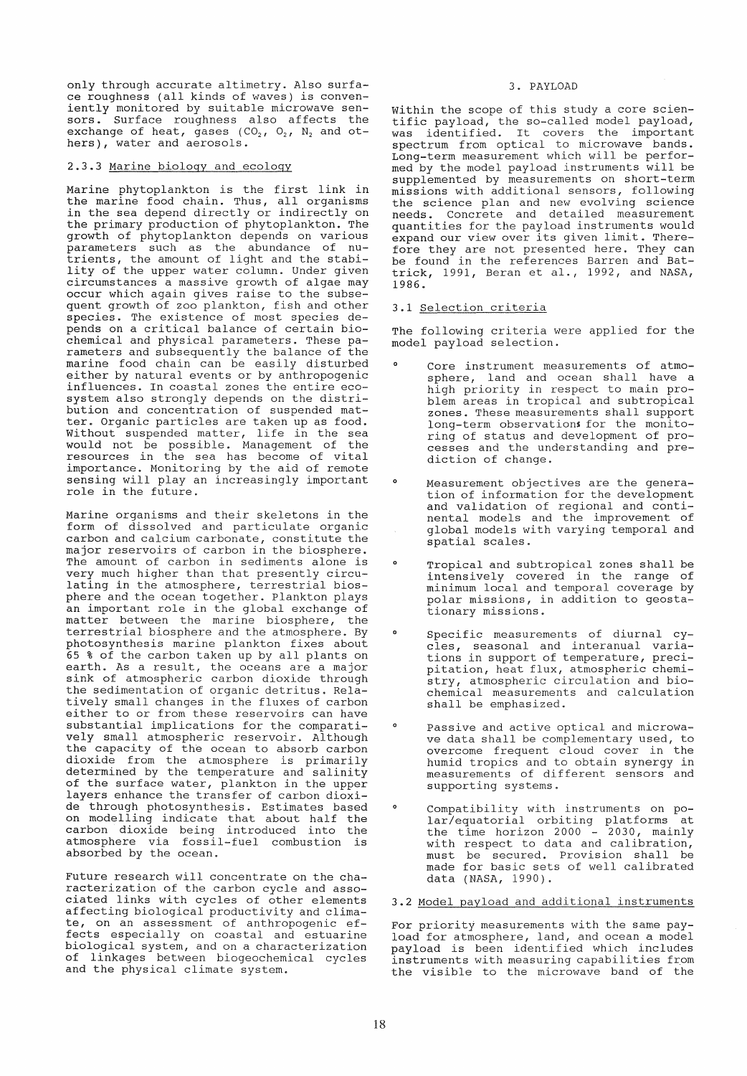only through accurate altimetry. Also surface roughness (all kinds of waves) is conveniently monitored by suitable microwave sensors. Surface roughness also affects the sors. Surface roughness also affects the<br>exchange of heat, gases (CO<sub>2</sub>, O<sub>2</sub>, N<sub>2</sub> and ot-<br>hers), water and aerosols.

# 2.3.3 Marine biology and ecology

Marine phytoplankton is the first link in the marine food chain. Thus, all organisms in the sea depend directly or indirectly on the primary production of phytoplankton. The growth of phytoplankton depends on various parameters such as the abundance of nutrients, the amount of light and the stabi-Litents, the amount of fight and the stabi-<br>lity of the upper water column. Under given circumstances a massive growth of algae may occur which again gives raise to the subsequent growth of zoo plankton, fish and other species. The existence of most species depends on a critical balance of certain biochemical and physical parameters. These parameters and subsequently the balance of the marine food chain can be easily disturbed either by natural events or by anthropogenic influences. In coastal zones the entire ecosystem also strongly depends on the distribution and concentration of suspended matter. Organic particles are taken up as food. Without suspended matter, life in the sea would not be possible. Management of the resources in the sea has become of vital importance. Monitoring by the aid of remote sensing will play an increasingly important role in the future.

Marine organisms and their skeletons in the form of dissolved and particulate organic carbon and calcium carbonate, constitute the major reservoirs of carbon in the biosphere. The amount of carbon in sediments alone is very much higher than that presently circulating in the atmosphere, terrestrial biosphere and the ocean together. Plankton plays an important role in the global exchange of matter between the marine biosphere, the terrestrial biosphere and the atmosphere. By photosynthesis marine plankton fixes about 65 % of the carbon taken up by all plants on earth. As a result, the oceans are a major sink of atmospheric carbon dioxide through the sedimentation of organic detritus. Relatively small changes in the fluxes of carbon either to or from these reservoirs can have substantial implications for the comparatively small atmospheric reservoir. Although the capacity of the ocean to absorb carbon dioxide from the atmosphere is primarily determined by the temperature and salinity of the surface water, plankton in the upper layers enhance the transfer of carbon dioxide through photosynthesis. Estimates based on modelling indicate that about half the carbon dioxide being introduced into the atmosphere via fossil-fuel combustion is absorbed by the ocean.

Future research will concentrate on the characterization of the carbon cycle and associated links with cycles of other elements affecting biological productivity and climate, on an assessment of anthropogenic effects especially on coastal and estuarine biological system, and on a characterization of linkages between biogeochemical cycles and the physical climate system.

#### 3. PAYLOAD

within the scope of this study a core scientific payload, the so-called model payload, was identified. It covers the important spectrum from optical to microwave bands. Long-term measurement which will be performed by the model payload instruments will be supplemented by measurements on short-term missions with additional sensors, following the science plan and new evolving science needs. Concrete and detailed measurement quantities for the payload instruments would expand our view over its given limit. Therefore they are not presented here. They can be found in the references Barren and Bat-trick, 1991, Beran et al., 1992, and NASA, 1986.

# 3.1 Selection criteria

The following criteria were applied for the model payload selection.

- o Core instrument measurements of atmosphere, land and ocean shall have a high priority in respect to main problem areas in tropical and subtropical zones. These measurements shal1 support long-term observations for the monitoring of status and development of processes and the understanding and prediction of change.
- o Measurement objectives are the generation of information for the development and validation of regional and continental models and the improvement of global models with varying temporal and spatial scales.
- o Tropical and subtropical zones shall be intensively covered in the range of minimum local and temporal coverage by polar missions, in addition to geostationary missions.
- $\mathbf{o}$ Specific measurements of diurnal cycles f seasonal and interanual varlations in support of temperature, precipitation, heat flux, atmospheric chemistry, atmospheric circulation and biochemical measurements and calculation shall be emphasized.
- $\circ$ Passive and active optical and microwave data shall be complementary used, to overcome frequent cloud cover in the humid tropics and to obtain synergy in measurements of different sensors and supporting systems.
- Compatibility with instruments on po-lar/equatorial orbiting platforms at the time horizon 2000 - 2030, mainly with respect to data and calibration, must be secured. Provision shall be made for basic sets of weIl calibrated data (NASA, 1990).

# 3.2 Model payload and additional instruments

For priority measurements with the same payload for atmosphere, land, and ocean a model payload is been identified which includes instruments with measuring capabilities from the visible to the microwave band of the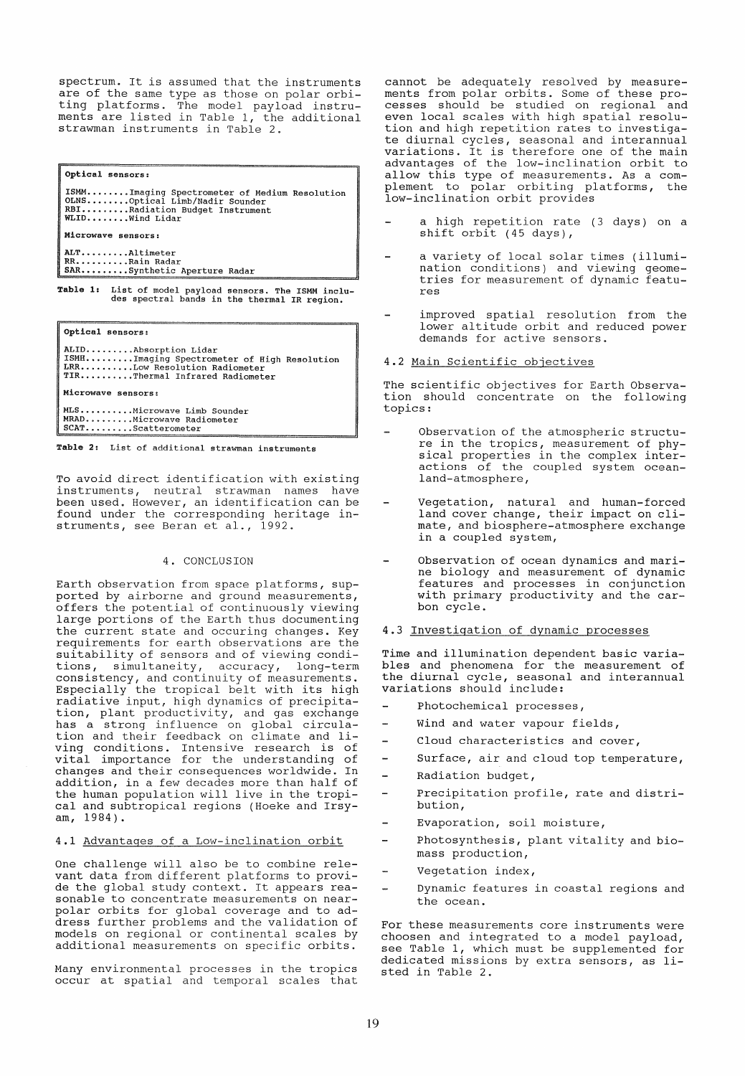spectrum. It is assumed that the instruments are of the same type as those on polar orbiting platforms. The model payload instruments are listed in Table 1, the additional strawman instruments in Table 2.

Optical sensors: ISMM........Imaging Spectrometer of Medium Resolution<br>OLNS........Optical Limb/Nadir Sounder<br>RBI.........Radiation Budget Instrument<br>WLID........Vind Lidar Microwave sensors: ALT •••••••.. Altimeter RR ••••••.••• Rain Radar SAR ••••••••• Synthetic Aperture Radar Table 1: List of model payload sensors. The ISMM inclu-des spectral bands in the thermal IR region.

optical sensors:

ALID.........Absorption Lidar<br>ISMH.........Imaging Spectrometer of High Resolution<br>LRR..........Low Resolution Radiometer TIR...........Thermal Infrared Radiometer Microwave sensors:

MLS •.•••••.•. Microwave Limb Sounder MRAD..........Microwave Himp Soundary<br>MRAD.........Microwave Radiometer<br>SCAT.........Scatterometer

Table 2: List of additional strawman instruments

To avoid direct identification with existing instruments, neutral strawman names have been used. However, an identification can be found under the corresponding heritage instruments, see Beran et al., 1992.

#### 4. CONCLUSION

Earth observation from space platforms, supported by airborne and ground measurements, offers the potential of continuously viewing large portions of the Earth thus documenting the current state and occuring changes. Key requirements for earth observations are the suitability of sensors and of viewing condi-<br>tions, simultaneity, accuracy, long-term tions, simultaneity, accuracy, long-term consistency, and continuity of measurements. CONSISCENCY, and CONCINUITY Of Measurements.<br>Especially the tropical belt with its high radiative input, high dynamics of precipitation, plant productivity, and gas exchange has a strong influence on global circula-tion and their feedback on climate and living conditions. Intensive research is of vital importance for the understanding of changes and their consequences worldwide. In addition, in a few decades more than half of the human population will live in the tropical and subtropical regions (Hoeke and Irsyam, 1984).

### 4.1 Advantages of a Low-inclination orbit

One challenge will also be to combine relevant data from different platforms to provide the global study context. It appears reasonable to concentrate measurements on nearpolar orbits for global coverage and to address further problems and the validation of models on regional or continental scales by additional measurements on specific orbits.

Many environmental processes in the tropics occur at spatial and temporal scales that cannot be adequately resolved by measurements from polar orbits. Some of these processes should be studied on regional and even local scales with high spatial resolution and high repetition rates to investigate diurnal cycles, seasonal and interannual variations. It is therefore one of the main advantages of the low-inclination orbit to allow this type of measurements. As a complement to polar orbiting platforms, the low-inclination orbit provides

- ahigh repetition rate (3 days) on a shift orbit (45 days),
- a variety of local solar times (illumination conditions) and viewing geometries for measurement of dynamic features
- improved spatial resolution from the lower altitude orbit and reduced power demands for active sensors.
- 4.2 Main Scientific objectives

The scientific objectives for Earth Observation should concentrate on the following topics:

- Observation of the atmospheric structure in the tropics, measurement of physical properties in the complex interactions of the coupled system oceanland-atmosphere,
- Vegetation, natural and human-forced land cover change, their impact on climate, and biosphere-atmosphere exchange in a coupled system,
- Observation of ocean dynamics and marine biology and measurement of dynamic features and processes in conjunction with primary productivity and the carbon cycle.
- 4.3 Investigation of dynamic processes

Time and illumination dependent basic variables and phenomena for the measurement of the diurnal cycle, seasonal and interannual variations should include:

- Photochemical processes,
- L. Wind and water vapour fields,
- Cloud characteristics and cover, ä,
- L. Surface, air and cloud top temperature,
- Radiation budget, -
- Precipitation profile, rate and distribution,
- Evaporation, soil moisture,
- Photosynthesis, plant vitality and biomass production,
- Vegetation index,
- Dynamic features in coastal regions and the ocean.

For these measurements core instruments were choosen and integrated to a model payload, see Table **1,** which must be supplemented for dedicated missions by extra sensors, as listed in Table 2.